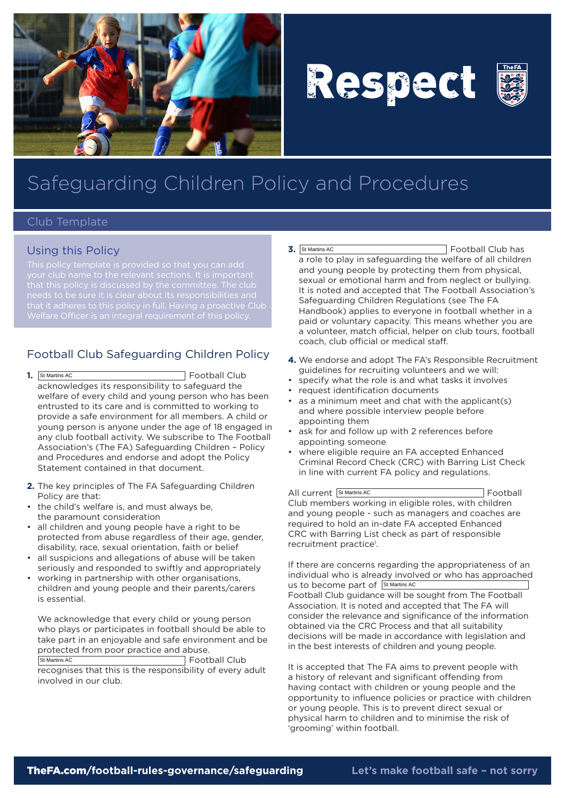

# Respect



## Safeguarding Children Policy and Procedures

#### Club Template

#### Using this Policy

that it adheres to this policy in full. Having a proactive Club

### Football Club Safeguarding Children Policy

- **1.** Football Club acknowledges its responsibility to safeguard the welfare of every child and young person who has been entrusted to its care and is committed to working to provide a safe environment for all members. A child or young person is anyone under the age of 18 engaged in any club football activity. We subscribe to The Football Association's (The FA) Safeguarding Children – Policy and Procedures and endorse and adopt the Policy Statement contained in that document. 1. St Martins AC
- **2.** The key principles of The FA Safeguarding Children Policy are that:
- the child's welfare is, and must always be, the paramount consideration
- all children and young people have a right to be protected from abuse regardless of their age, gender, disability, race, sexual orientation, faith or belief
- all suspicions and allegations of abuse will be taken seriously and responded to swiftly and appropriately
- working in partnership with other organisations, children and young people and their parents/carers is essential.

We acknowledge that every child or young person who plays or participates in football should be able to take part in an enjoyable and safe environment and be protected from poor practice and abuse. Football Club St Martins AC

recognises that this is the responsibility of every adult involved in our club.

- **3.** Football Club has a role to play in safeguarding the welfare of all children and young people by protecting them from physical, sexual or emotional harm and from neglect or bullying. It is noted and accepted that The Football Association's Safeguarding Children Regulations (see The FA Handbook) applies to everyone in football whether in a paid or voluntary capacity. This means whether you are a volunteer, match official, helper on club tours, football coach, club official or medical staff. 3. St Martins AC
- **4.** We endorse and adopt The FA's Responsible Recruitment guidelines for recruiting volunteers and we will:
- • specify what the role is and what tasks it involves
- • request identification documents
- • as a minimum meet and chat with the applicant(s) and where possible interview people before appointing them
- ask for and follow up with 2 references before appointing someone
- where eligible require an FA accepted Enhanced Criminal Record Check (CRC) with Barring List Check in line with current FA policy and regulations.

All current St Martins AC **Contract Contract Contract Contract Contract Contract Contract Contract Contract Contract Contract Contract Contract Contract Contract Contract Contract Contract Contract Contract Contract Contra** Club members working in eligible roles, with children and young people - such as managers and coaches are required to hold an in-date FA accepted Enhanced CRC with Barring List check as part of responsible recruitment practice<sup>1</sup>.

If there are concerns regarding the appropriateness of an individual who is already involved or who has approached us to become part of St Martins AC Football Club guidance will be sought from The Football Association. It is noted and accepted that The FA will consider the relevance and significance of the information obtained via the CRC Process and that all suitability decisions will be made in accordance with legislation and in the best interests of children and young people.

It is accepted that The FA aims to prevent people with a history of relevant and significant offending from having contact with children or young people and the opportunity to influence policies or practice with children or young people. This is to prevent direct sexual or physical harm to children and to minimise the risk of 'grooming' within football.